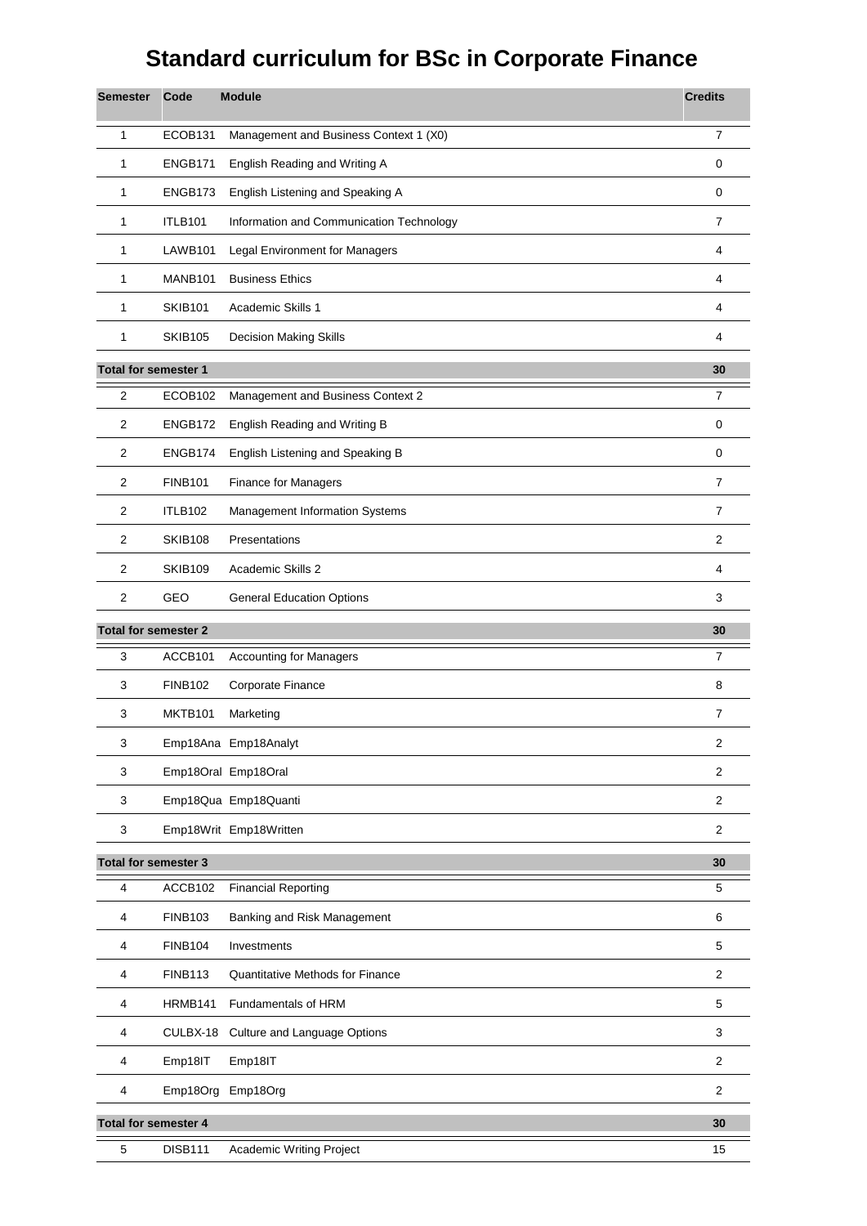## **Standard curriculum for BSc in Corporate Finance**

| <b>Semester</b>             | Code                | <b>Module</b>                            | <b>Credits</b>          |
|-----------------------------|---------------------|------------------------------------------|-------------------------|
| 1                           | ECOB131             | Management and Business Context 1 (X0)   | $\overline{7}$          |
| 1                           | ENGB171             | English Reading and Writing A            | 0                       |
| 1                           | ENGB173             | English Listening and Speaking A         | 0                       |
| 1                           | <b>ITLB101</b>      | Information and Communication Technology | $\overline{7}$          |
| 1                           | LAWB <sub>101</sub> | Legal Environment for Managers           | 4                       |
| 1                           | MANB <sub>101</sub> | <b>Business Ethics</b>                   | 4                       |
| 1                           | <b>SKIB101</b>      | Academic Skills 1                        | 4                       |
| 1                           | <b>SKIB105</b>      | <b>Decision Making Skills</b>            | 4                       |
| <b>Total for semester 1</b> |                     |                                          | 30                      |
| $\overline{2}$              | ECOB102             | Management and Business Context 2        | $\overline{7}$          |
| 2                           | ENGB172             | English Reading and Writing B            | 0                       |
| $\overline{2}$              | ENGB174             | English Listening and Speaking B         | 0                       |
| 2                           | <b>FINB101</b>      | Finance for Managers                     | $\overline{7}$          |
| 2                           | <b>ITLB102</b>      | Management Information Systems           | $\overline{7}$          |
| $\overline{2}$              | <b>SKIB108</b>      | Presentations                            | $\overline{\mathbf{c}}$ |
| 2                           | <b>SKIB109</b>      | Academic Skills 2                        | 4                       |
| 2                           | GEO                 | <b>General Education Options</b>         | 3                       |
| <b>Total for semester 2</b> |                     |                                          | 30                      |
| 3                           | ACCB101             | <b>Accounting for Managers</b>           | $\overline{7}$          |
| 3                           | <b>FINB102</b>      | Corporate Finance                        | 8                       |
| 3                           | MKTB101             | Marketing                                | 7                       |
| 3                           |                     | Emp18Ana Emp18Analyt                     | $\overline{c}$          |
| 3                           |                     | Emp18Oral Emp18Oral                      | $\overline{2}$          |
| 3                           |                     | Emp18Qua Emp18Quanti                     | 2                       |
| 3                           |                     | Emp18Writ Emp18Written                   | $\overline{\mathbf{c}}$ |
| <b>Total for semester 3</b> |                     |                                          | 30                      |
| 4                           | ACCB102             | <b>Financial Reporting</b>               | 5                       |
| 4                           | <b>FINB103</b>      | Banking and Risk Management              | 6                       |
| 4                           | <b>FINB104</b>      | Investments                              | 5                       |
| 4                           | <b>FINB113</b>      | <b>Quantitative Methods for Finance</b>  | $\overline{c}$          |
| 4                           | HRMB141             | Fundamentals of HRM                      | 5                       |
| 4                           | CULBX-18            | Culture and Language Options             | 3                       |
| 4                           | Emp18IT             | Emp18IT                                  | $\mathbf{2}$            |
| 4                           | Emp18Org            | Emp18Org                                 | $\overline{\mathbf{c}}$ |
| <b>Total for semester 4</b> |                     |                                          | 30                      |
| 5                           | <b>DISB111</b>      | Academic Writing Project                 | 15                      |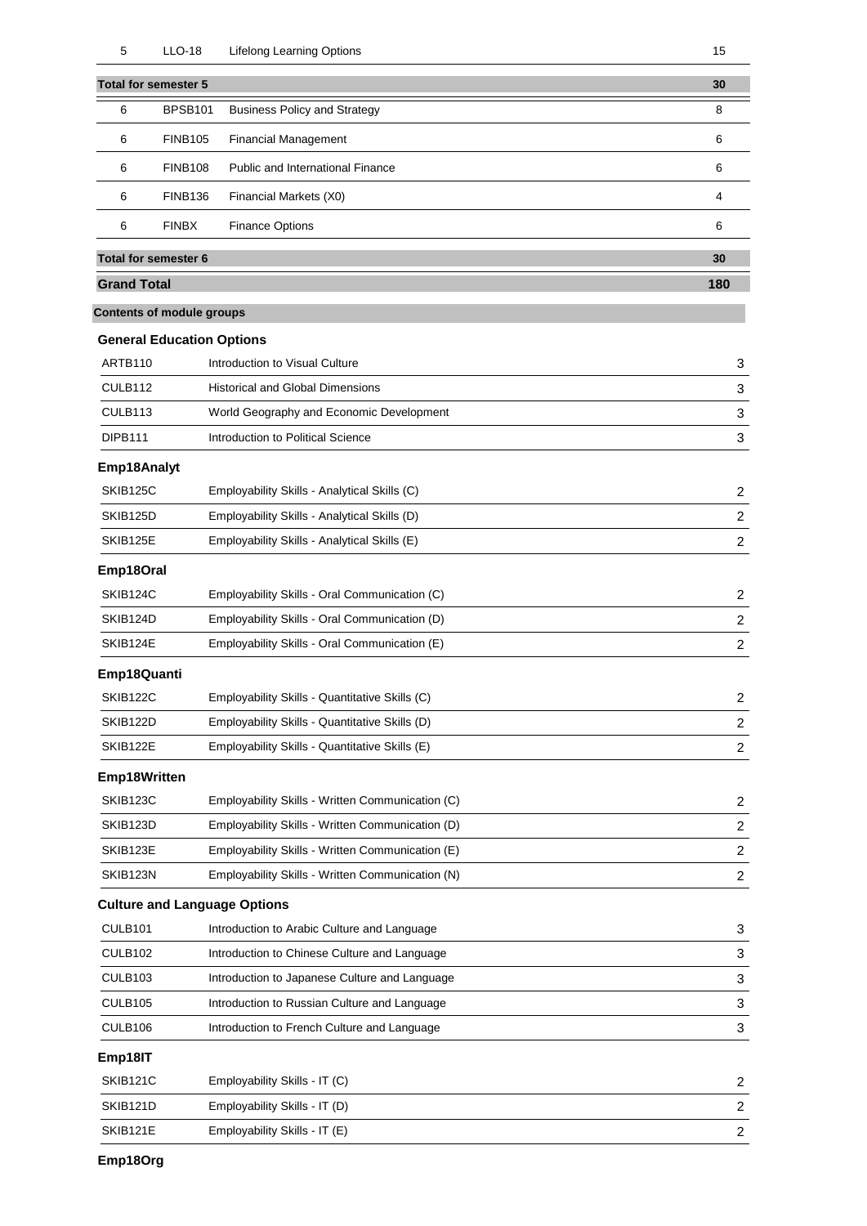|                    | <b>Total for semester 5</b>      |                                                  | 30                        |
|--------------------|----------------------------------|--------------------------------------------------|---------------------------|
| 6                  | <b>BPSB101</b>                   | <b>Business Policy and Strategy</b>              | 8                         |
| 6                  | <b>FINB105</b>                   | <b>Financial Management</b>                      | 6                         |
| 6                  | <b>FINB108</b>                   | <b>Public and International Finance</b>          | 6                         |
| 6                  | <b>FINB136</b>                   | Financial Markets (X0)                           | 4                         |
| 6                  | <b>FINBX</b>                     | <b>Finance Options</b>                           | 6                         |
|                    | <b>Total for semester 6</b>      |                                                  | 30                        |
| <b>Grand Total</b> |                                  |                                                  | 180                       |
|                    | <b>Contents of module groups</b> |                                                  |                           |
|                    | <b>General Education Options</b> |                                                  |                           |
| ARTB110            |                                  | Introduction to Visual Culture                   | 3                         |
| CULB112            |                                  | <b>Historical and Global Dimensions</b>          | 3                         |
| CULB113            |                                  | World Geography and Economic Development         | 3                         |
| <b>DIPB111</b>     |                                  | Introduction to Political Science                | $\ensuremath{\mathsf{3}}$ |
| Emp18Analyt        |                                  |                                                  |                           |
| SKIB125C           |                                  | Employability Skills - Analytical Skills (C)     | 2                         |
| SKIB125D           |                                  | Employability Skills - Analytical Skills (D)     | $\overline{c}$            |
| SKIB125E           |                                  | Employability Skills - Analytical Skills (E)     | $\overline{c}$            |
| Emp18Oral          |                                  |                                                  |                           |
| SKIB124C           |                                  | Employability Skills - Oral Communication (C)    | 2                         |
| SKIB124D           |                                  | Employability Skills - Oral Communication (D)    | $\overline{c}$            |
| SKIB124E           |                                  | Employability Skills - Oral Communication (E)    | 2                         |
| Emp18Quanti        |                                  |                                                  |                           |
| SKIB122C           |                                  | Employability Skills - Quantitative Skills (C)   | 2                         |
| SKIB122D           |                                  | Employability Skills - Quantitative Skills (D)   | 2                         |
| SKIB122E           |                                  | Employability Skills - Quantitative Skills (E)   | 2                         |
| Emp18Written       |                                  |                                                  |                           |
| SKIB123C           |                                  | Employability Skills - Written Communication (C) | $\overline{c}$            |
| SKIB123D           |                                  | Employability Skills - Written Communication (D) | 2                         |
| SKIB123E           |                                  | Employability Skills - Written Communication (E) | $\overline{c}$            |
| SKIB123N           |                                  | Employability Skills - Written Communication (N) | $\overline{c}$            |
|                    |                                  | <b>Culture and Language Options</b>              |                           |
| CULB101            |                                  | Introduction to Arabic Culture and Language      | 3                         |
| CULB102            |                                  | Introduction to Chinese Culture and Language     | 3                         |
| CULB103            |                                  | Introduction to Japanese Culture and Language    | 3                         |
| CULB105            |                                  | Introduction to Russian Culture and Language     | 3                         |
| CULB106            |                                  | Introduction to French Culture and Language      | $\ensuremath{\mathsf{3}}$ |
| Emp18IT            |                                  |                                                  |                           |
| SKIB121C           |                                  | Employability Skills - IT (C)                    | 2                         |
| SKIB121D           |                                  | Employability Skills - IT (D)                    | $\overline{c}$            |
| SKIB121E           |                                  | Employability Skills - IT (E)                    | $\overline{c}$            |